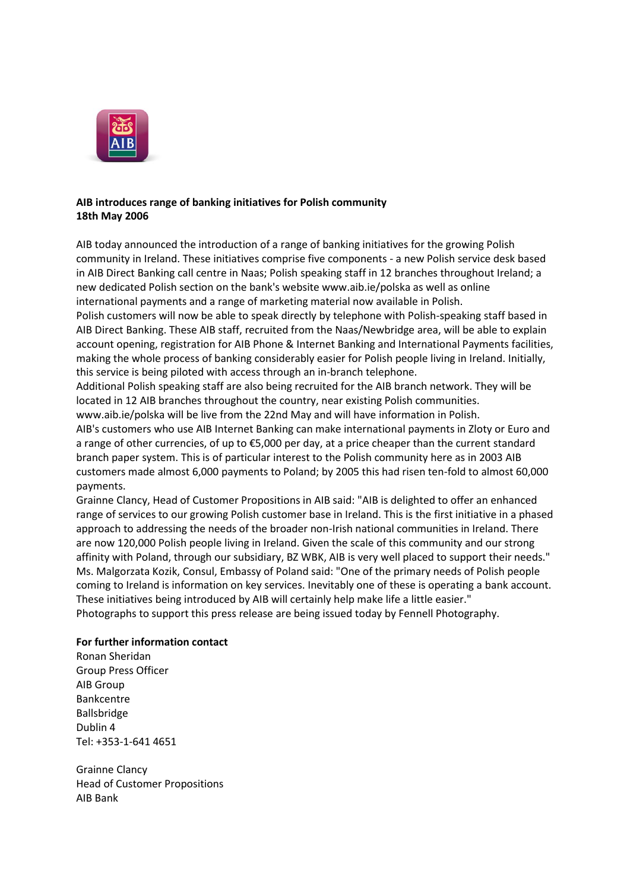

### **AIB introduces range of banking initiatives for Polish community 18th May 2006**

AIB today announced the introduction of a range of banking initiatives for the growing Polish community in Ireland. These initiatives comprise five components - a new Polish service desk based in AIB Direct Banking call centre in Naas; Polish speaking staff in 12 branches throughout Ireland; a new dedicated Polish section on the bank's website www.aib.ie/polska as well as online international payments and a range of marketing material now available in Polish.

Polish customers will now be able to speak directly by telephone with Polish-speaking staff based in AIB Direct Banking. These AIB staff, recruited from the Naas/Newbridge area, will be able to explain account opening, registration for AIB Phone & Internet Banking and International Payments facilities, making the whole process of banking considerably easier for Polish people living in Ireland. Initially, this service is being piloted with access through an in-branch telephone.

Additional Polish speaking staff are also being recruited for the AIB branch network. They will be located in 12 AIB branches throughout the country, near existing Polish communities.

www.aib.ie/polska will be live from the 22nd May and will have information in Polish.

AIB's customers who use AIB Internet Banking can make international payments in Zloty or Euro and a range of other currencies, of up to €5,000 per day, at a price cheaper than the current standard branch paper system. This is of particular interest to the Polish community here as in 2003 AIB customers made almost 6,000 payments to Poland; by 2005 this had risen ten-fold to almost 60,000 payments.

Grainne Clancy, Head of Customer Propositions in AIB said: "AIB is delighted to offer an enhanced range of services to our growing Polish customer base in Ireland. This is the first initiative in a phased approach to addressing the needs of the broader non-Irish national communities in Ireland. There are now 120,000 Polish people living in Ireland. Given the scale of this community and our strong affinity with Poland, through our subsidiary, BZ WBK, AIB is very well placed to support their needs." Ms. Malgorzata Kozik, Consul, Embassy of Poland said: "One of the primary needs of Polish people coming to Ireland is information on key services. Inevitably one of these is operating a bank account. These initiatives being introduced by AIB will certainly help make life a little easier." Photographs to support this press release are being issued today by Fennell Photography.

## **For further information contact**

Ronan Sheridan Group Press Officer AIB Group Bankcentre Ballsbridge Dublin 4 Tel: +353-1-641 4651

Grainne Clancy Head of Customer Propositions AIB Bank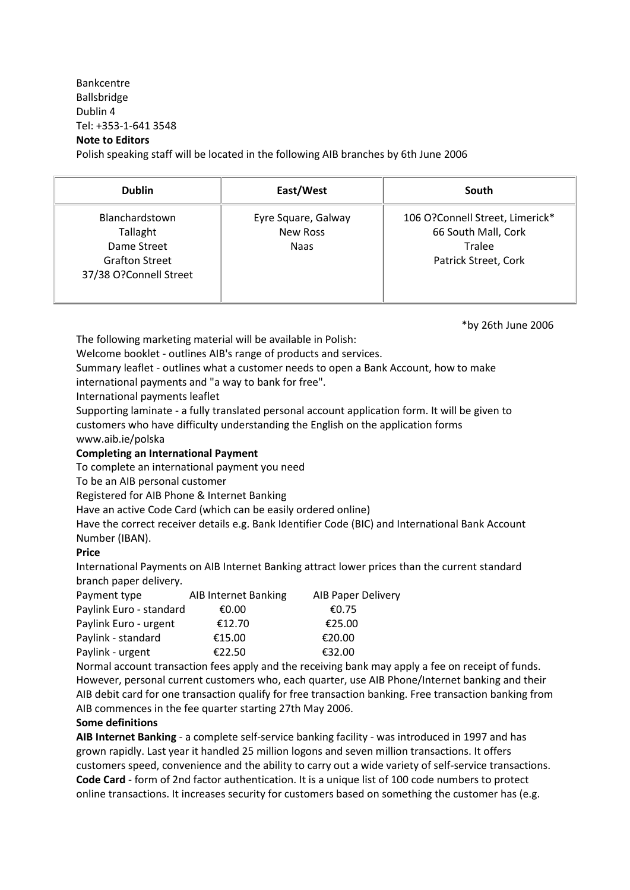# Bankcentre Ballsbridge Dublin 4 Tel: +353-1-641 3548 **Note to Editors**

Polish speaking staff will be located in the following AIB branches by 6th June 2006

| <b>Dublin</b>                                                                                | East/West                                      | South                                                                                    |
|----------------------------------------------------------------------------------------------|------------------------------------------------|------------------------------------------------------------------------------------------|
| Blanchardstown<br>Tallaght<br>Dame Street<br><b>Grafton Street</b><br>37/38 O?Connell Street | Eyre Square, Galway<br>New Ross<br><b>Naas</b> | 106 O?Connell Street, Limerick*<br>66 South Mall, Cork<br>Tralee<br>Patrick Street, Cork |

\*by 26th June 2006

The following marketing material will be available in Polish:

Welcome booklet - outlines AIB's range of products and services.

Summary leaflet - outlines what a customer needs to open a Bank Account, how to make

international payments and "a way to bank for free".

International payments leaflet

Supporting laminate - a fully translated personal account application form. It will be given to customers who have difficulty understanding the English on the application forms www.aib.ie/polska

## **Completing an International Payment**

To complete an international payment you need

To be an AIB personal customer

Registered for AIB Phone & Internet Banking

Have an active Code Card (which can be easily ordered online)

Have the correct receiver details e.g. Bank Identifier Code (BIC) and International Bank Account Number (IBAN).

## **Price**

International Payments on AIB Internet Banking attract lower prices than the current standard branch paper delivery.

| Payment type            | AIB Internet Banking | <b>AIB Paper Delivery</b> |
|-------------------------|----------------------|---------------------------|
| Paylink Euro - standard | €0.00                | €0.75                     |
| Paylink Euro - urgent   | €12.70               | €25.00                    |
| Paylink - standard      | €15.00               | €20.00                    |
| Paylink - urgent        | €22.50               | €32.00                    |

Normal account transaction fees apply and the receiving bank may apply a fee on receipt of funds. However, personal current customers who, each quarter, use AIB Phone/Internet banking and their AIB debit card for one transaction qualify for free transaction banking. Free transaction banking from AIB commences in the fee quarter starting 27th May 2006.

## **Some definitions**

**AIB Internet Banking** - a complete self-service banking facility - was introduced in 1997 and has grown rapidly. Last year it handled 25 million logons and seven million transactions. It offers customers speed, convenience and the ability to carry out a wide variety of self-service transactions. **Code Card** - form of 2nd factor authentication. It is a unique list of 100 code numbers to protect online transactions. It increases security for customers based on something the customer has (e.g.